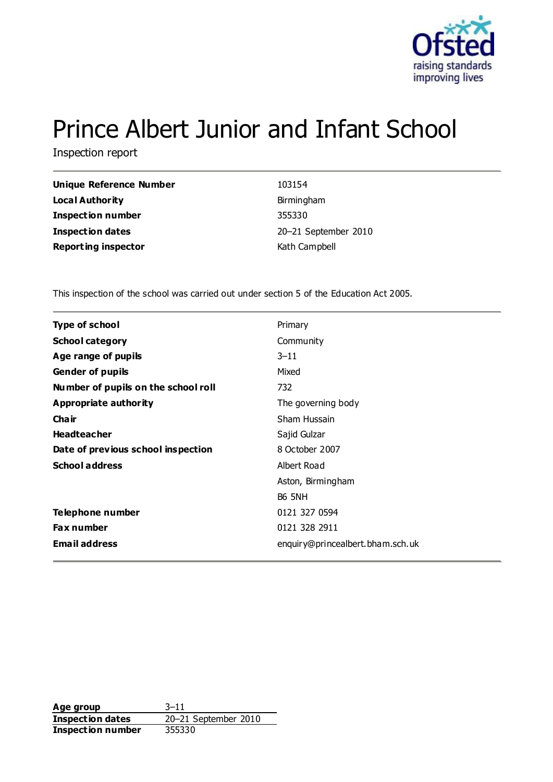

# Prince Albert Junior and Infant School

Inspection report

| Unique Reference Number    | 103154               |
|----------------------------|----------------------|
| Local Authority            | Birmingham           |
| <b>Inspection number</b>   | 355330               |
| <b>Inspection dates</b>    | 20-21 September 2010 |
| <b>Reporting inspector</b> | Kath Campbell        |

This inspection of the school was carried out under section 5 of the Education Act 2005.

| <b>Type of school</b>               | Primary                          |
|-------------------------------------|----------------------------------|
| <b>School category</b>              | Community                        |
| Age range of pupils                 | $3 - 11$                         |
| <b>Gender of pupils</b>             | Mixed                            |
| Number of pupils on the school roll | 732                              |
| Appropriate authority               | The governing body               |
| Cha ir                              | Sham Hussain                     |
| <b>Headteacher</b>                  | Sajid Gulzar                     |
| Date of previous school inspection  | 8 October 2007                   |
| <b>School address</b>               | Albert Road                      |
|                                     | Aston, Birmingham                |
|                                     | <b>B6 5NH</b>                    |
| Telephone number                    | 0121 327 0594                    |
| Fax number                          | 0121 328 2911                    |
| <b>Email address</b>                | enquiry@princealbert.bham.sch.uk |
|                                     |                                  |

**Age group** 3–11 **Inspection dates** 20–21 September 2010<br> **Inspection number** 355330 **Inspection number**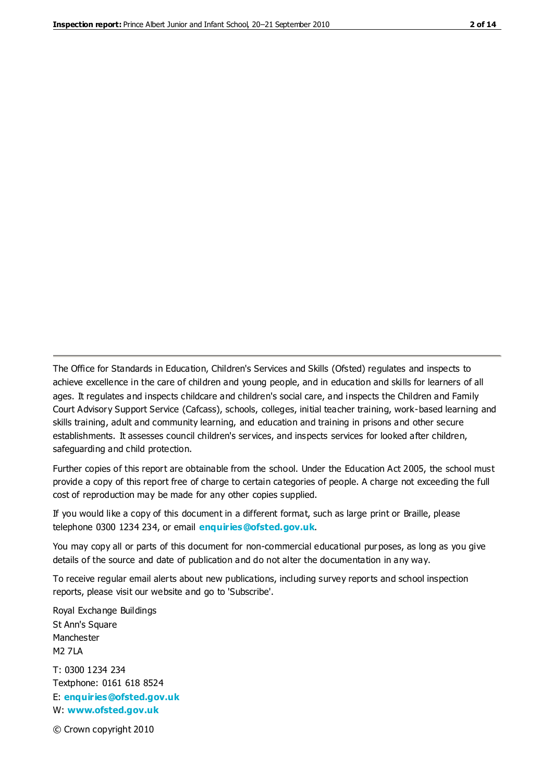The Office for Standards in Education, Children's Services and Skills (Ofsted) regulates and inspects to achieve excellence in the care of children and young people, and in education and skills for learners of all ages. It regulates and inspects childcare and children's social care, and inspects the Children and Family Court Advisory Support Service (Cafcass), schools, colleges, initial teacher training, work-based learning and skills training, adult and community learning, and education and training in prisons and other secure establishments. It assesses council children's services, and inspects services for looked after children, safeguarding and child protection.

Further copies of this report are obtainable from the school. Under the Education Act 2005, the school must provide a copy of this report free of charge to certain categories of people. A charge not exceeding the full cost of reproduction may be made for any other copies supplied.

If you would like a copy of this document in a different format, such as large print or Braille, please telephone 0300 1234 234, or email **[enquiries@ofsted.gov.uk](mailto:enquiries@ofsted.gov.uk)**.

You may copy all or parts of this document for non-commercial educational purposes, as long as you give details of the source and date of publication and do not alter the documentation in any way.

To receive regular email alerts about new publications, including survey reports and school inspection reports, please visit our website and go to 'Subscribe'.

Royal Exchange Buildings St Ann's Square Manchester M2 7LA T: 0300 1234 234 Textphone: 0161 618 8524 E: **[enquiries@ofsted.gov.uk](mailto:enquiries@ofsted.gov.uk)**

W: **[www.ofsted.gov.uk](http://www.ofsted.gov.uk/)**

© Crown copyright 2010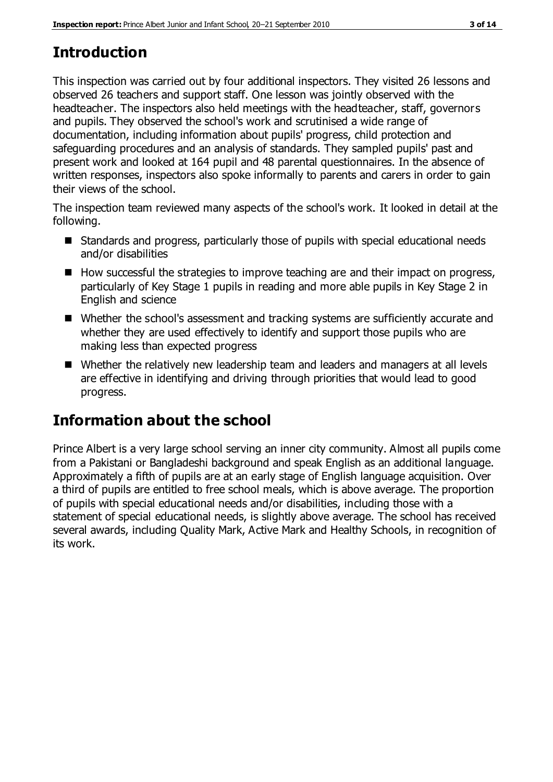# **Introduction**

This inspection was carried out by four additional inspectors. They visited 26 lessons and observed 26 teachers and support staff. One lesson was jointly observed with the headteacher. The inspectors also held meetings with the headteacher, staff, governors and pupils. They observed the school's work and scrutinised a wide range of documentation, including information about pupils' progress, child protection and safeguarding procedures and an analysis of standards. They sampled pupils' past and present work and looked at 164 pupil and 48 parental questionnaires. In the absence of written responses, inspectors also spoke informally to parents and carers in order to gain their views of the school.

The inspection team reviewed many aspects of the school's work. It looked in detail at the following.

- Standards and progress, particularly those of pupils with special educational needs and/or disabilities
- $\blacksquare$  How successful the strategies to improve teaching are and their impact on progress, particularly of Key Stage 1 pupils in reading and more able pupils in Key Stage 2 in English and science
- Whether the school's assessment and tracking systems are sufficiently accurate and whether they are used effectively to identify and support those pupils who are making less than expected progress
- Whether the relatively new leadership team and leaders and managers at all levels are effective in identifying and driving through priorities that would lead to good progress.

# **Information about the school**

Prince Albert is a very large school serving an inner city community. Almost all pupils come from a Pakistani or Bangladeshi background and speak English as an additional language. Approximately a fifth of pupils are at an early stage of English language acquisition. Over a third of pupils are entitled to free school meals, which is above average. The proportion of pupils with special educational needs and/or disabilities, including those with a statement of special educational needs, is slightly above average. The school has received several awards, including Quality Mark, Active Mark and Healthy Schools, in recognition of its work.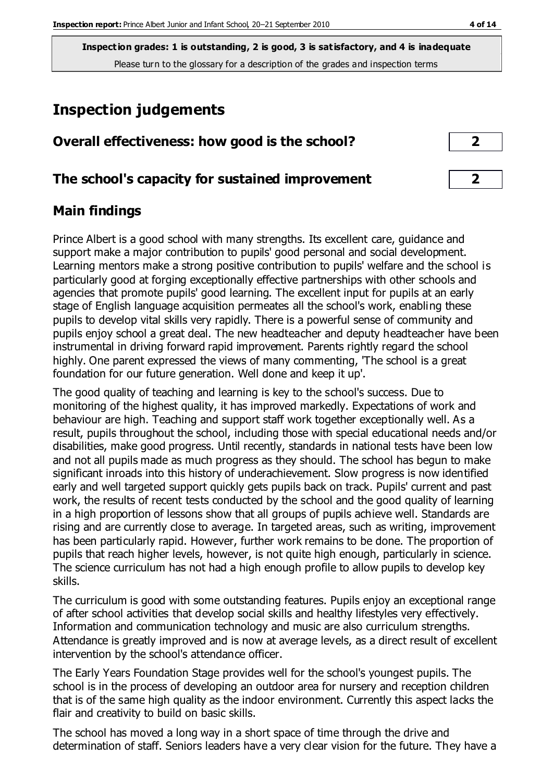# **Inspection judgements**

#### **Overall effectiveness: how good is the school? 2**

#### **The school's capacity for sustained improvement 2**

#### **Main findings**

Prince Albert is a good school with many strengths. Its excellent care, guidance and support make a major contribution to pupils' good personal and social development. Learning mentors make a strong positive contribution to pupils' welfare and the school is particularly good at forging exceptionally effective partnerships with other schools and agencies that promote pupils' good learning. The excellent input for pupils at an early stage of English language acquisition permeates all the school's work, enabling these pupils to develop vital skills very rapidly. There is a powerful sense of community and pupils enjoy school a great deal. The new headteacher and deputy headteacher have been instrumental in driving forward rapid improvement. Parents rightly regard the school highly. One parent expressed the views of many commenting, 'The school is a great foundation for our future generation. Well done and keep it up'.

The good quality of teaching and learning is key to the school's success. Due to monitoring of the highest quality, it has improved markedly. Expectations of work and behaviour are high. Teaching and support staff work together exceptionally well. As a result, pupils throughout the school, including those with special educational needs and/or disabilities, make good progress. Until recently, standards in national tests have been low and not all pupils made as much progress as they should. The school has begun to make significant inroads into this history of underachievement. Slow progress is now identified early and well targeted support quickly gets pupils back on track. Pupils' current and past work, the results of recent tests conducted by the school and the good quality of learning in a high proportion of lessons show that all groups of pupils achieve well. Standards are rising and are currently close to average. In targeted areas, such as writing, improvement has been particularly rapid. However, further work remains to be done. The proportion of pupils that reach higher levels, however, is not quite high enough, particularly in science. The science curriculum has not had a high enough profile to allow pupils to develop key skills.

The curriculum is good with some outstanding features. Pupils enjoy an exceptional range of after school activities that develop social skills and healthy lifestyles very effectively. Information and communication technology and music are also curriculum strengths. Attendance is greatly improved and is now at average levels, as a direct result of excellent intervention by the school's attendance officer.

The Early Years Foundation Stage provides well for the school's youngest pupils. The school is in the process of developing an outdoor area for nursery and reception children that is of the same high quality as the indoor environment. Currently this aspect lacks the flair and creativity to build on basic skills.

The school has moved a long way in a short space of time through the drive and determination of staff. Seniors leaders have a very clear vision for the future. They have a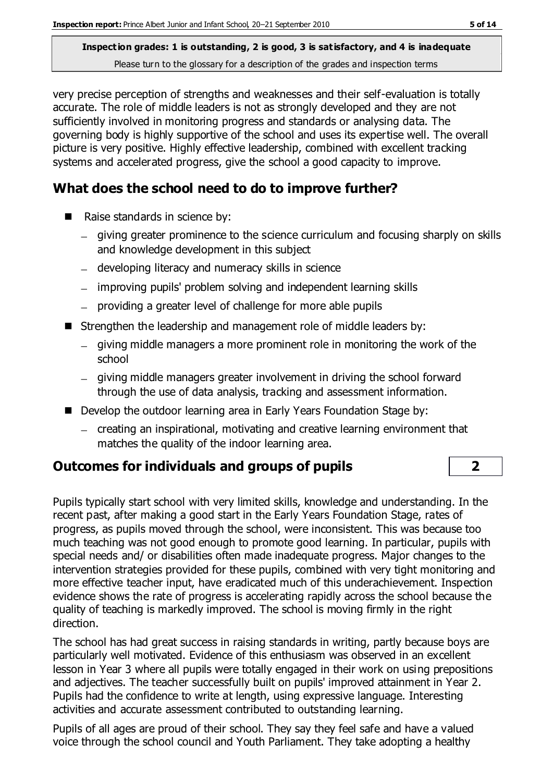very precise perception of strengths and weaknesses and their self-evaluation is totally accurate. The role of middle leaders is not as strongly developed and they are not sufficiently involved in monitoring progress and standards or analysing data. The governing body is highly supportive of the school and uses its expertise well. The overall picture is very positive. Highly effective leadership, combined with excellent tracking systems and accelerated progress, give the school a good capacity to improve.

### **What does the school need to do to improve further?**

- Raise standards in science by:
	- giving greater prominence to the science curriculum and focusing sharply on skills and knowledge development in this subject
	- developing literacy and numeracy skills in science
	- improving pupils' problem solving and independent learning skills
	- providing a greater level of challenge for more able pupils
- Strengthen the leadership and management role of middle leaders by:
	- $-$  giving middle managers a more prominent role in monitoring the work of the school
	- $-$  giving middle managers greater involvement in driving the school forward through the use of data analysis, tracking and assessment information.
- Develop the outdoor learning area in Early Years Foundation Stage by:
	- creating an inspirational, motivating and creative learning environment that matches the quality of the indoor learning area.

### **Outcomes for individuals and groups of pupils 2**

Pupils typically start school with very limited skills, knowledge and understanding. In the recent past, after making a good start in the Early Years Foundation Stage, rates of progress, as pupils moved through the school, were inconsistent. This was because too much teaching was not good enough to promote good learning. In particular, pupils with special needs and/ or disabilities often made inadequate progress. Major changes to the intervention strategies provided for these pupils, combined with very tight monitoring and more effective teacher input, have eradicated much of this underachievement. Inspection evidence shows the rate of progress is accelerating rapidly across the school because the quality of teaching is markedly improved. The school is moving firmly in the right direction.

The school has had great success in raising standards in writing, partly because boys are particularly well motivated. Evidence of this enthusiasm was observed in an excellent lesson in Year 3 where all pupils were totally engaged in their work on using prepositions and adjectives. The teacher successfully built on pupils' improved attainment in Year 2. Pupils had the confidence to write at length, using expressive language. Interesting activities and accurate assessment contributed to outstanding learning.

Pupils of all ages are proud of their school. They say they feel safe and have a valued voice through the school council and Youth Parliament. They take adopting a healthy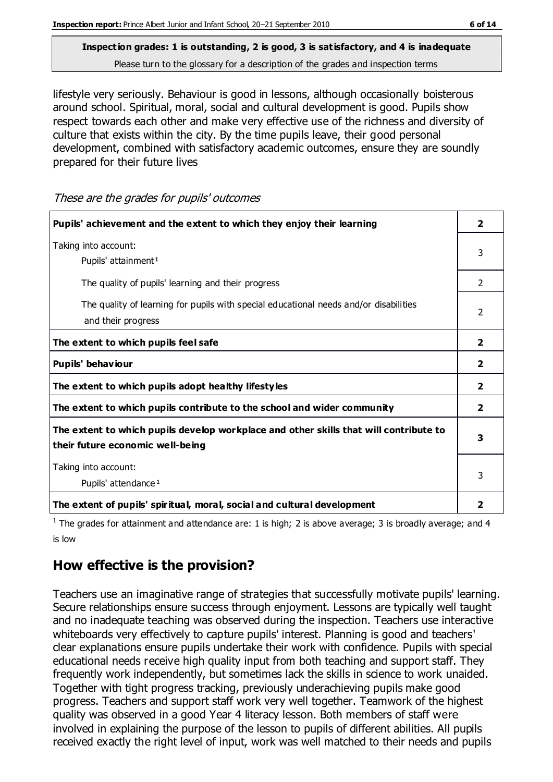lifestyle very seriously. Behaviour is good in lessons, although occasionally boisterous around school. Spiritual, moral, social and cultural development is good. Pupils show respect towards each other and make very effective use of the richness and diversity of culture that exists within the city. By the time pupils leave, their good personal development, combined with satisfactory academic outcomes, ensure they are soundly prepared for their future lives

**Pupils' achievement and the extent to which they enjoy their learning 2** Taking into account: Pupils' attainment<sup>1</sup> 3 The quality of pupils' learning and their progress 2 The quality of learning for pupils with special educational needs and/or disabilities and their progress  $\overline{2}$ **The extent to which pupils feel safe 2 Pupils' behaviour 2 The extent to which pupils adopt healthy lifestyles 2 The extent to which pupils contribute to the school and wider community 2 The extent to which pupils develop workplace and other skills that will contribute to their future economic well-being 3** Taking into account: Pupils' attendance<sup>1</sup> 3 **The extent of pupils' spiritual, moral, social and cultural development 2**

These are the grades for pupils' outcomes

<sup>1</sup> The grades for attainment and attendance are: 1 is high; 2 is above average; 3 is broadly average; and 4 is low

#### **How effective is the provision?**

Teachers use an imaginative range of strategies that successfully motivate pupils' learning. Secure relationships ensure success through enjoyment. Lessons are typically well taught and no inadequate teaching was observed during the inspection. Teachers use interactive whiteboards very effectively to capture pupils' interest. Planning is good and teachers' clear explanations ensure pupils undertake their work with confidence. Pupils with special educational needs receive high quality input from both teaching and support staff. They frequently work independently, but sometimes lack the skills in science to work unaided. Together with tight progress tracking, previously underachieving pupils make good progress. Teachers and support staff work very well together. Teamwork of the highest quality was observed in a good Year 4 literacy lesson. Both members of staff were involved in explaining the purpose of the lesson to pupils of different abilities. All pupils received exactly the right level of input, work was well matched to their needs and pupils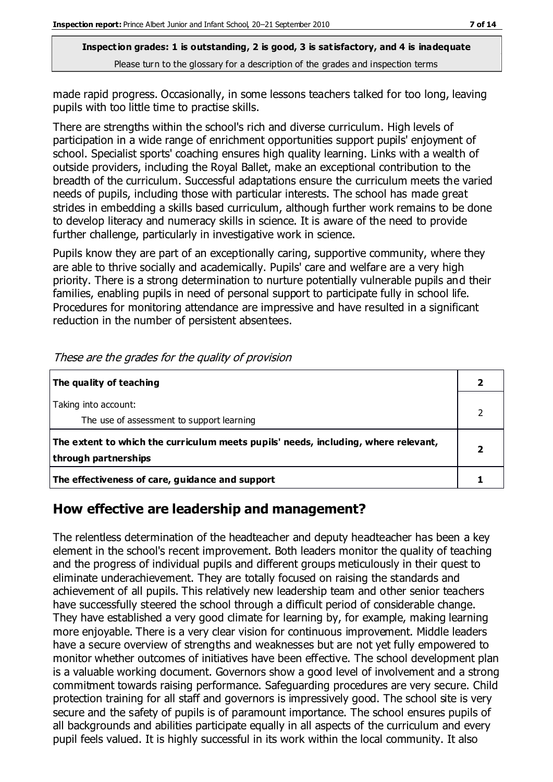made rapid progress. Occasionally, in some lessons teachers talked for too long, leaving pupils with too little time to practise skills.

There are strengths within the school's rich and diverse curriculum. High levels of participation in a wide range of enrichment opportunities support pupils' enjoyment of school. Specialist sports' coaching ensures high quality learning. Links with a wealth of outside providers, including the Royal Ballet, make an exceptional contribution to the breadth of the curriculum. Successful adaptations ensure the curriculum meets the varied needs of pupils, including those with particular interests. The school has made great strides in embedding a skills based curriculum, although further work remains to be done to develop literacy and numeracy skills in science. It is aware of the need to provide further challenge, particularly in investigative work in science.

Pupils know they are part of an exceptionally caring, supportive community, where they are able to thrive socially and academically. Pupils' care and welfare are a very high priority. There is a strong determination to nurture potentially vulnerable pupils and their families, enabling pupils in need of personal support to participate fully in school life. Procedures for monitoring attendance are impressive and have resulted in a significant reduction in the number of persistent absentees.

| The quality of teaching                                                                                    |  |
|------------------------------------------------------------------------------------------------------------|--|
| Taking into account:<br>The use of assessment to support learning                                          |  |
| The extent to which the curriculum meets pupils' needs, including, where relevant,<br>through partnerships |  |
| The effectiveness of care, guidance and support                                                            |  |

These are the grades for the quality of provision

#### **How effective are leadership and management?**

The relentless determination of the headteacher and deputy headteacher has been a key element in the school's recent improvement. Both leaders monitor the quality of teaching and the progress of individual pupils and different groups meticulously in their quest to eliminate underachievement. They are totally focused on raising the standards and achievement of all pupils. This relatively new leadership team and other senior teachers have successfully steered the school through a difficult period of considerable change. They have established a very good climate for learning by, for example, making learning more enjoyable. There is a very clear vision for continuous improvement. Middle leaders have a secure overview of strengths and weaknesses but are not yet fully empowered to monitor whether outcomes of initiatives have been effective. The school development plan is a valuable working document. Governors show a good level of involvement and a strong commitment towards raising performance. Safeguarding procedures are very secure. Child protection training for all staff and governors is impressively good. The school site is very secure and the safety of pupils is of paramount importance. The school ensures pupils of all backgrounds and abilities participate equally in all aspects of the curriculum and every pupil feels valued. It is highly successful in its work within the local community. It also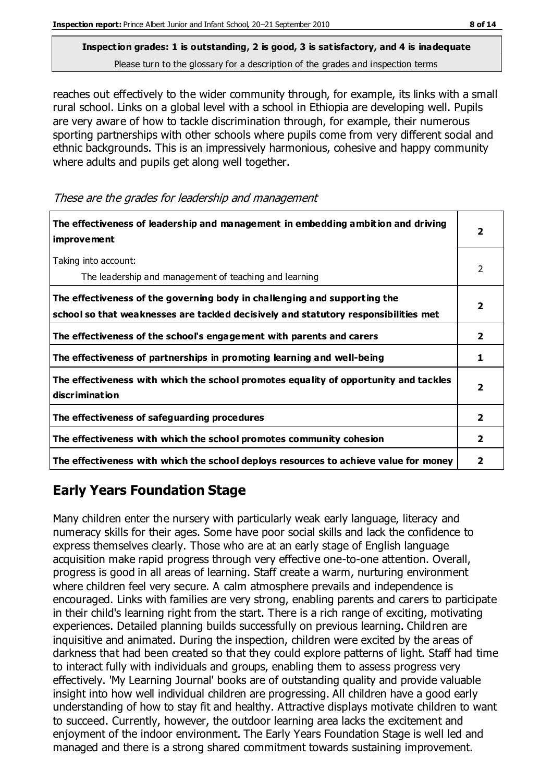reaches out effectively to the wider community through, for example, its links with a small rural school. Links on a global level with a school in Ethiopia are developing well. Pupils are very aware of how to tackle discrimination through, for example, their numerous sporting partnerships with other schools where pupils come from very different social and ethnic backgrounds. This is an impressively harmonious, cohesive and happy community where adults and pupils get along well together.

These are the grades for leadership and management

| The effectiveness of leadership and management in embedding ambition and driving<br>improvement                                                                  |                |
|------------------------------------------------------------------------------------------------------------------------------------------------------------------|----------------|
| Taking into account:<br>The leadership and management of teaching and learning                                                                                   | $\mathcal{P}$  |
| The effectiveness of the governing body in challenging and supporting the<br>school so that weaknesses are tackled decisively and statutory responsibilities met | 2              |
| The effectiveness of the school's engagement with parents and carers                                                                                             | 2              |
| The effectiveness of partnerships in promoting learning and well-being                                                                                           | 1              |
| The effectiveness with which the school promotes equality of opportunity and tackles<br>discrimination                                                           |                |
| The effectiveness of safeguarding procedures                                                                                                                     | $\overline{2}$ |
| The effectiveness with which the school promotes community cohesion                                                                                              |                |
| The effectiveness with which the school deploys resources to achieve value for money                                                                             | 2              |

### **Early Years Foundation Stage**

Many children enter the nursery with particularly weak early language, literacy and numeracy skills for their ages. Some have poor social skills and lack the confidence to express themselves clearly. Those who are at an early stage of English language acquisition make rapid progress through very effective one-to-one attention. Overall, progress is good in all areas of learning. Staff create a warm, nurturing environment where children feel very secure. A calm atmosphere prevails and independence is encouraged. Links with families are very strong, enabling parents and carers to participate in their child's learning right from the start. There is a rich range of exciting, motivating experiences. Detailed planning builds successfully on previous learning. Children are inquisitive and animated. During the inspection, children were excited by the areas of darkness that had been created so that they could explore patterns of light. Staff had time to interact fully with individuals and groups, enabling them to assess progress very effectively. 'My Learning Journal' books are of outstanding quality and provide valuable insight into how well individual children are progressing. All children have a good early understanding of how to stay fit and healthy. Attractive displays motivate children to want to succeed. Currently, however, the outdoor learning area lacks the excitement and enjoyment of the indoor environment. The Early Years Foundation Stage is well led and managed and there is a strong shared commitment towards sustaining improvement.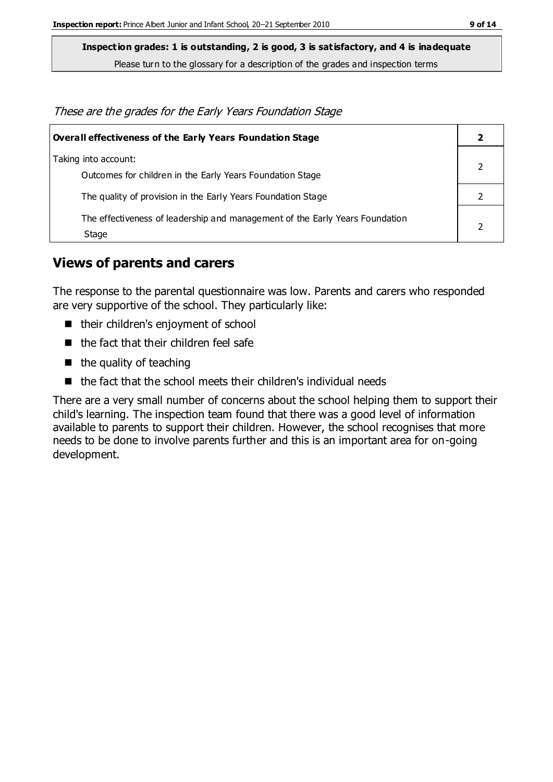**Inspection grades: 1 is outstanding, 2 is good, 3 is satisfactory, and 4 is inadequate**

Please turn to the glossary for a description of the grades and inspection terms

These are the grades for the Early Years Foundation Stage

| Overall effectiveness of the Early Years Foundation Stage                             |  |  |
|---------------------------------------------------------------------------------------|--|--|
| Taking into account:<br>Outcomes for children in the Early Years Foundation Stage     |  |  |
| The quality of provision in the Early Years Foundation Stage                          |  |  |
| The effectiveness of leadership and management of the Early Years Foundation<br>Stage |  |  |

#### **Views of parents and carers**

The response to the parental questionnaire was low. Parents and carers who responded are very supportive of the school. They particularly like:

- their children's enjoyment of school
- $\blacksquare$  the fact that their children feel safe
- $\blacksquare$  the quality of teaching
- $\blacksquare$  the fact that the school meets their children's individual needs

There are a very small number of concerns about the school helping them to support their child's learning. The inspection team found that there was a good level of information available to parents to support their children. However, the school recognises that more needs to be done to involve parents further and this is an important area for on-going development.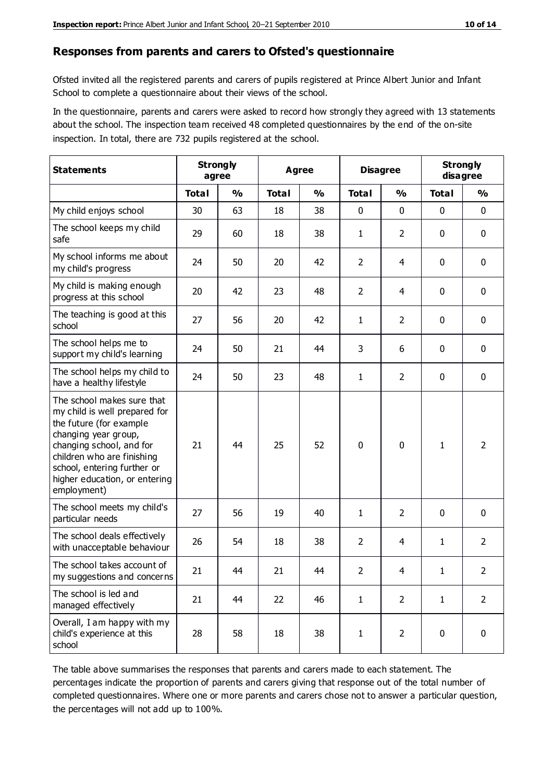#### **Responses from parents and carers to Ofsted's questionnaire**

Ofsted invited all the registered parents and carers of pupils registered at Prince Albert Junior and Infant School to complete a questionnaire about their views of the school.

In the questionnaire, parents and carers were asked to record how strongly they agreed with 13 statements about the school. The inspection team received 48 completed questionnaires by the end of the on-site inspection. In total, there are 732 pupils registered at the school.

| <b>Statements</b>                                                                                                                                                                                                                                       | <b>Strongly</b><br>agree |               | <b>Agree</b> |               | <b>Disagree</b> |                | <b>Strongly</b><br>disagree |                |
|---------------------------------------------------------------------------------------------------------------------------------------------------------------------------------------------------------------------------------------------------------|--------------------------|---------------|--------------|---------------|-----------------|----------------|-----------------------------|----------------|
|                                                                                                                                                                                                                                                         | <b>Total</b>             | $\frac{0}{0}$ | <b>Total</b> | $\frac{0}{0}$ | <b>Total</b>    | $\frac{0}{0}$  | <b>Total</b>                | $\frac{0}{0}$  |
| My child enjoys school                                                                                                                                                                                                                                  | 30                       | 63            | 18           | 38            | 0               | 0              | $\mathbf 0$                 | $\mathbf 0$    |
| The school keeps my child<br>safe                                                                                                                                                                                                                       | 29                       | 60            | 18           | 38            | 1               | $\overline{2}$ | $\mathbf 0$                 | $\mathbf 0$    |
| My school informs me about<br>my child's progress                                                                                                                                                                                                       | 24                       | 50            | 20           | 42            | $\overline{2}$  | 4              | $\mathbf 0$                 | $\mathbf 0$    |
| My child is making enough<br>progress at this school                                                                                                                                                                                                    | 20                       | 42            | 23           | 48            | $\overline{2}$  | 4              | 0                           | $\mathbf 0$    |
| The teaching is good at this<br>school                                                                                                                                                                                                                  | 27                       | 56            | 20           | 42            | 1               | $\overline{2}$ | $\mathbf 0$                 | $\mathbf 0$    |
| The school helps me to<br>support my child's learning                                                                                                                                                                                                   | 24                       | 50            | 21           | 44            | 3               | 6              | $\mathbf 0$                 | $\mathbf 0$    |
| The school helps my child to<br>have a healthy lifestyle                                                                                                                                                                                                | 24                       | 50            | 23           | 48            | $\mathbf{1}$    | $\overline{2}$ | $\mathbf 0$                 | $\mathbf 0$    |
| The school makes sure that<br>my child is well prepared for<br>the future (for example<br>changing year group,<br>changing school, and for<br>children who are finishing<br>school, entering further or<br>higher education, or entering<br>employment) | 21                       | 44            | 25           | 52            | $\mathbf 0$     | 0              | $\mathbf{1}$                | $\overline{2}$ |
| The school meets my child's<br>particular needs                                                                                                                                                                                                         | 27                       | 56            | 19           | 40            | 1               | $\overline{2}$ | $\mathbf 0$                 | $\mathbf 0$    |
| The school deals effectively<br>with unacceptable behaviour                                                                                                                                                                                             | 26                       | 54            | 18           | 38            | $\overline{2}$  | 4              | 1                           | $\overline{2}$ |
| The school takes account of<br>my suggestions and concerns                                                                                                                                                                                              | 21                       | 44            | 21           | 44            | $\overline{2}$  | 4              | 1                           | 2              |
| The school is led and<br>managed effectively                                                                                                                                                                                                            | 21                       | 44            | 22           | 46            | $\mathbf{1}$    | $\overline{2}$ | $\mathbf{1}$                | $\overline{2}$ |
| Overall, I am happy with my<br>child's experience at this<br>school                                                                                                                                                                                     | 28                       | 58            | 18           | 38            | $\mathbf 1$     | $\overline{2}$ | $\mathbf 0$                 | $\mathbf 0$    |

The table above summarises the responses that parents and carers made to each statement. The percentages indicate the proportion of parents and carers giving that response out of the total number of completed questionnaires. Where one or more parents and carers chose not to answer a particular question, the percentages will not add up to 100%.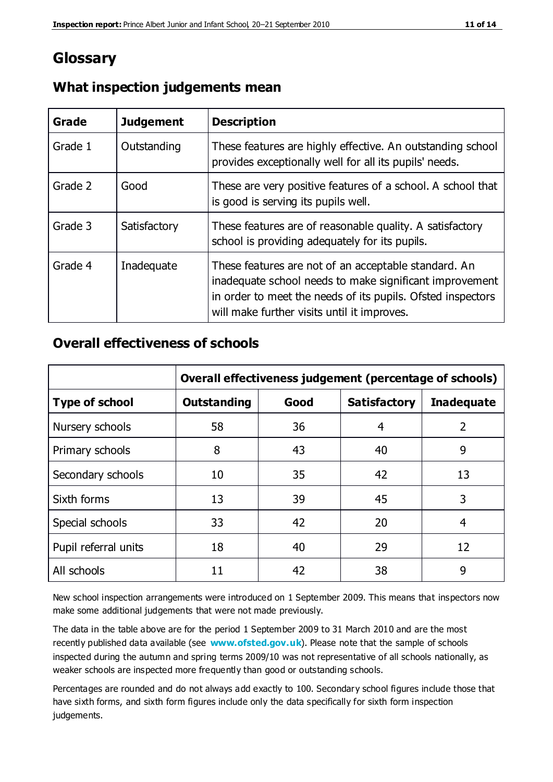## **Glossary**

| Grade   | <b>Judgement</b> | <b>Description</b>                                                                                                                                                                                                            |
|---------|------------------|-------------------------------------------------------------------------------------------------------------------------------------------------------------------------------------------------------------------------------|
| Grade 1 | Outstanding      | These features are highly effective. An outstanding school<br>provides exceptionally well for all its pupils' needs.                                                                                                          |
| Grade 2 | Good             | These are very positive features of a school. A school that<br>is good is serving its pupils well.                                                                                                                            |
| Grade 3 | Satisfactory     | These features are of reasonable quality. A satisfactory<br>school is providing adequately for its pupils.                                                                                                                    |
| Grade 4 | Inadequate       | These features are not of an acceptable standard. An<br>inadequate school needs to make significant improvement<br>in order to meet the needs of its pupils. Ofsted inspectors<br>will make further visits until it improves. |

#### **What inspection judgements mean**

#### **Overall effectiveness of schools**

|                       | Overall effectiveness judgement (percentage of schools) |      |                     |                   |
|-----------------------|---------------------------------------------------------|------|---------------------|-------------------|
| <b>Type of school</b> | <b>Outstanding</b>                                      | Good | <b>Satisfactory</b> | <b>Inadequate</b> |
| Nursery schools       | 58                                                      | 36   | 4                   | 2                 |
| Primary schools       | 8                                                       | 43   | 40                  | 9                 |
| Secondary schools     | 10                                                      | 35   | 42                  | 13                |
| Sixth forms           | 13                                                      | 39   | 45                  | 3                 |
| Special schools       | 33                                                      | 42   | 20                  | 4                 |
| Pupil referral units  | 18                                                      | 40   | 29                  | 12                |
| All schools           | 11                                                      | 42   | 38                  | 9                 |

New school inspection arrangements were introduced on 1 September 2009. This means that inspectors now make some additional judgements that were not made previously.

The data in the table above are for the period 1 September 2009 to 31 March 2010 and are the most recently published data available (see **[www.ofsted.gov.uk](http://www.ofsted.gov.uk/)**). Please note that the sample of schools inspected during the autumn and spring terms 2009/10 was not representative of all schools nationally, as weaker schools are inspected more frequently than good or outstanding schools.

Percentages are rounded and do not always add exactly to 100. Secondary school figures include those that have sixth forms, and sixth form figures include only the data specifically for sixth form inspection judgements.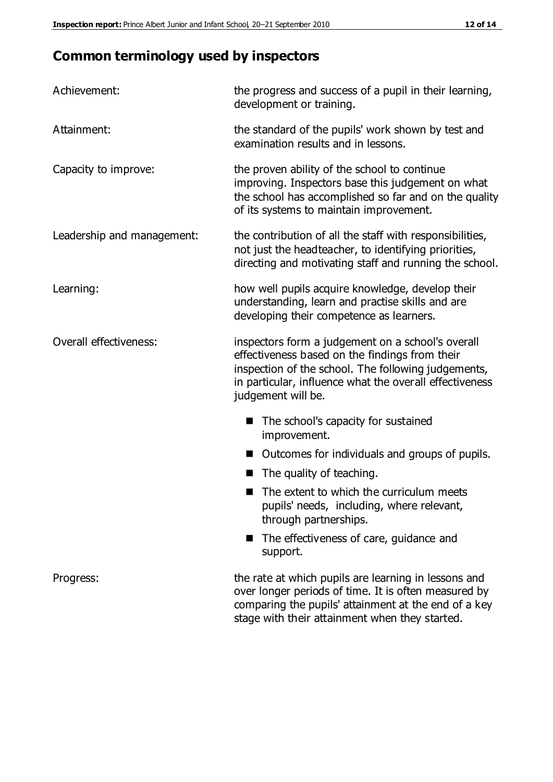# **Common terminology used by inspectors**

| Achievement:               | the progress and success of a pupil in their learning,<br>development or training.                                                                                                                                                          |  |  |
|----------------------------|---------------------------------------------------------------------------------------------------------------------------------------------------------------------------------------------------------------------------------------------|--|--|
| Attainment:                | the standard of the pupils' work shown by test and<br>examination results and in lessons.                                                                                                                                                   |  |  |
| Capacity to improve:       | the proven ability of the school to continue<br>improving. Inspectors base this judgement on what<br>the school has accomplished so far and on the quality<br>of its systems to maintain improvement.                                       |  |  |
| Leadership and management: | the contribution of all the staff with responsibilities,<br>not just the headteacher, to identifying priorities,<br>directing and motivating staff and running the school.                                                                  |  |  |
| Learning:                  | how well pupils acquire knowledge, develop their<br>understanding, learn and practise skills and are<br>developing their competence as learners.                                                                                            |  |  |
| Overall effectiveness:     | inspectors form a judgement on a school's overall<br>effectiveness based on the findings from their<br>inspection of the school. The following judgements,<br>in particular, influence what the overall effectiveness<br>judgement will be. |  |  |
|                            | The school's capacity for sustained<br>improvement.                                                                                                                                                                                         |  |  |
|                            | Outcomes for individuals and groups of pupils.                                                                                                                                                                                              |  |  |
|                            | The quality of teaching.                                                                                                                                                                                                                    |  |  |
|                            | The extent to which the curriculum meets<br>pupils' needs, including, where relevant,<br>through partnerships.                                                                                                                              |  |  |
|                            | The effectiveness of care, guidance and<br>support.                                                                                                                                                                                         |  |  |
| Progress:                  | the rate at which pupils are learning in lessons and<br>over longer periods of time. It is often measured by<br>comparing the pupils' attainment at the end of a key                                                                        |  |  |

stage with their attainment when they started.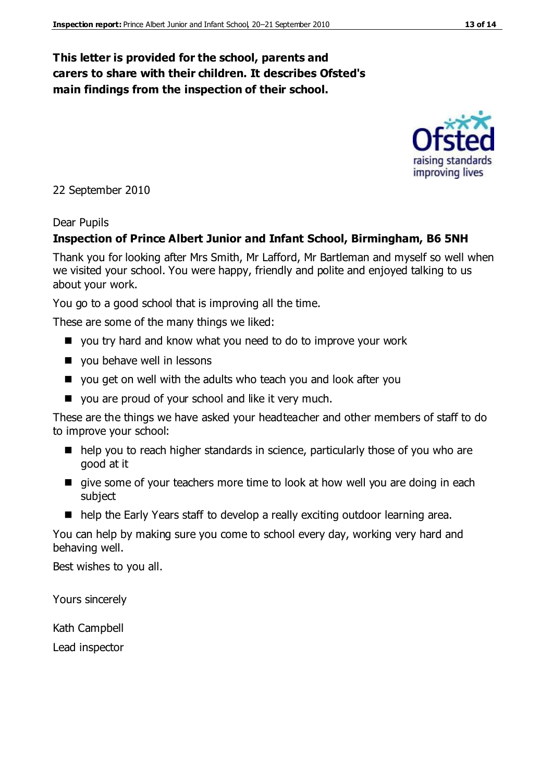#### **This letter is provided for the school, parents and carers to share with their children. It describes Ofsted's main findings from the inspection of their school.**

22 September 2010

#### Dear Pupils

#### **Inspection of Prince Albert Junior and Infant School, Birmingham, B6 5NH**

Thank you for looking after Mrs Smith, Mr Lafford, Mr Bartleman and myself so well when we visited your school. You were happy, friendly and polite and enjoyed talking to us about your work.

You go to a good school that is improving all the time.

These are some of the many things we liked:

- you try hard and know what you need to do to improve your work
- vou behave well in lessons
- you get on well with the adults who teach you and look after you
- you are proud of your school and like it very much.

These are the things we have asked your headteacher and other members of staff to do to improve your school:

- help you to reach higher standards in science, particularly those of you who are good at it
- qive some of your teachers more time to look at how well you are doing in each subject
- help the Early Years staff to develop a really exciting outdoor learning area.

You can help by making sure you come to school every day, working very hard and behaving well.

Best wishes to you all.

Yours sincerely

Kath Campbell

Lead inspector